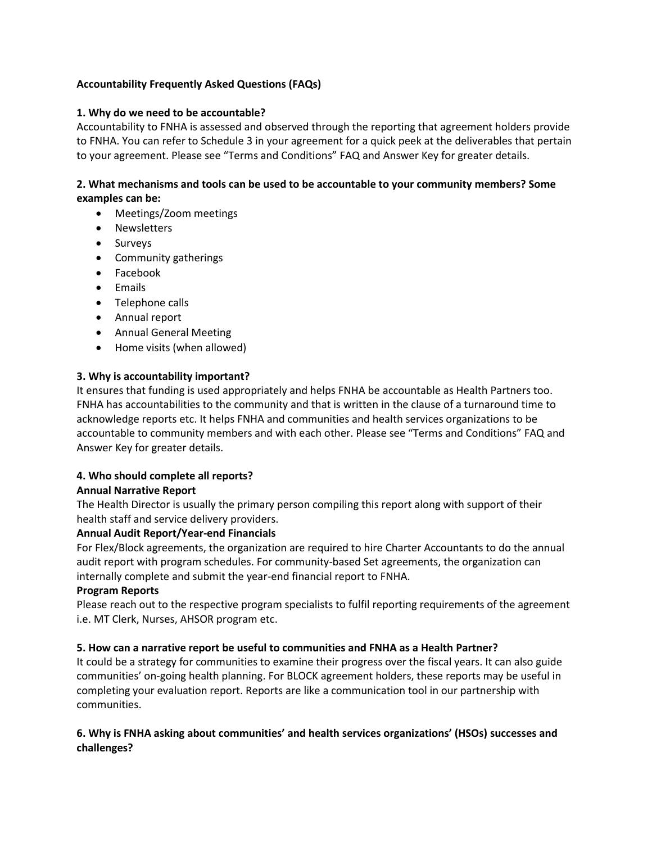# **Accountability Frequently Asked Questions (FAQs)**

#### **1. Why do we need to be accountable?**

Accountability to FNHA is assessed and observed through the reporting that agreement holders provide to FNHA. You can refer to Schedule 3 in your agreement for a quick peek at the deliverables that pertain to your agreement. Please see "Terms and Conditions" FAQ and Answer Key for greater details.

# **2. What mechanisms and tools can be used to be accountable to your community members? Some examples can be:**

- Meetings/Zoom meetings
- Newsletters
- Surveys
- Community gatherings
- Facebook
- Emails
- Telephone calls
- Annual report
- Annual General Meeting
- Home visits (when allowed)

#### **3. Why is accountability important?**

It ensures that funding is used appropriately and helps FNHA be accountable as Health Partners too. FNHA has accountabilities to the community and that is written in the clause of a turnaround time to acknowledge reports etc. It helps FNHA and communities and health services organizations to be accountable to community members and with each other. Please see "Terms and Conditions" FAQ and Answer Key for greater details.

# **4. Who should complete all reports?**

#### **Annual Narrative Report**

The Health Director is usually the primary person compiling this report along with support of their health staff and service delivery providers.

#### **Annual Audit Report/Year-end Financials**

For Flex/Block agreements, the organization are required to hire Charter Accountants to do the annual audit report with program schedules. For community-based Set agreements, the organization can internally complete and submit the year-end financial report to FNHA.

#### **Program Reports**

Please reach out to the respective program specialists to fulfil reporting requirements of the agreement i.e. MT Clerk, Nurses, AHSOR program etc.

#### **5. How can a narrative report be useful to communities and FNHA as a Health Partner?**

It could be a strategy for communities to examine their progress over the fiscal years. It can also guide communities' on-going health planning. For BLOCK agreement holders, these reports may be useful in completing your evaluation report. Reports are like a communication tool in our partnership with communities.

### **6. Why is FNHA asking about communities' and health services organizations' (HSOs) successes and challenges?**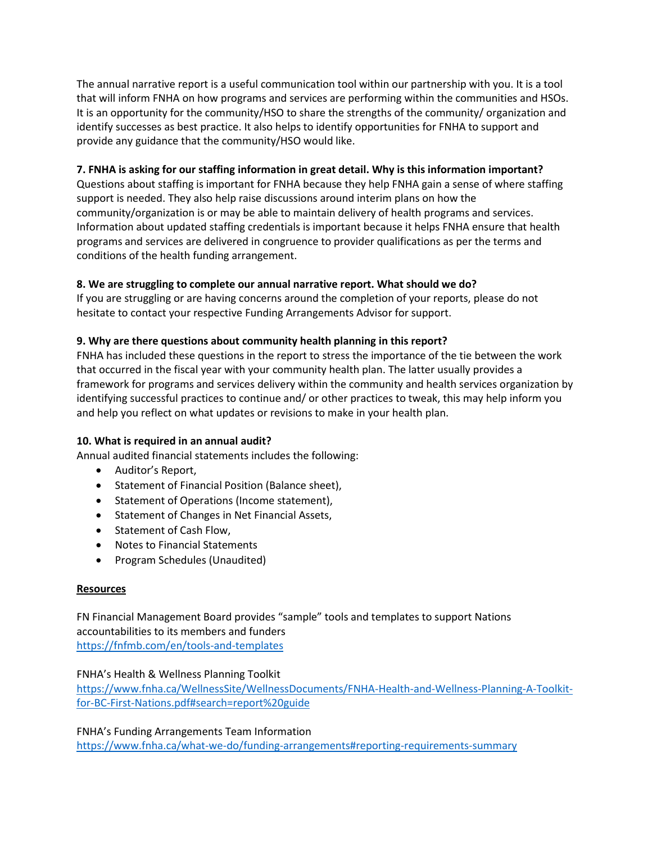The annual narrative report is a useful communication tool within our partnership with you. It is a tool that will inform FNHA on how programs and services are performing within the communities and HSOs. It is an opportunity for the community/HSO to share the strengths of the community/ organization and identify successes as best practice. It also helps to identify opportunities for FNHA to support and provide any guidance that the community/HSO would like.

# **7. FNHA is asking for our staffing information in great detail. Why is this information important?**

Questions about staffing is important for FNHA because they help FNHA gain a sense of where staffing support is needed. They also help raise discussions around interim plans on how the community/organization is or may be able to maintain delivery of health programs and services. Information about updated staffing credentials is important because it helps FNHA ensure that health programs and services are delivered in congruence to provider qualifications as per the terms and conditions of the health funding arrangement.

### **8. We are struggling to complete our annual narrative report. What should we do?**

If you are struggling or are having concerns around the completion of your reports, please do not hesitate to contact your respective Funding Arrangements Advisor for support.

#### **9. Why are there questions about community health planning in this report?**

FNHA has included these questions in the report to stress the importance of the tie between the work that occurred in the fiscal year with your community health plan. The latter usually provides a framework for programs and services delivery within the community and health services organization by identifying successful practices to continue and/ or other practices to tweak, this may help inform you and help you reflect on what updates or revisions to make in your health plan.

#### **10. What is required in an annual audit?**

Annual audited financial statements includes the following:

- Auditor's Report,
- Statement of Financial Position (Balance sheet),
- Statement of Operations (Income statement),
- **•** Statement of Changes in Net Financial Assets,
- Statement of Cash Flow.
- Notes to Financial Statements
- Program Schedules (Unaudited)

#### **Resources**

FN Financial Management Board provides "sample" tools and templates to support Nations accountabilities to its members and funders <https://fnfmb.com/en/tools-and-templates>

#### FNHA's Health & Wellness Planning Toolkit

[https://www.fnha.ca/WellnessSite/WellnessDocuments/FNHA-Health-and-Wellness-Planning-A-Toolkit](https://www.fnha.ca/WellnessSite/WellnessDocuments/FNHA-Health-and-Wellness-Planning-A-Toolkit-for-BC-First-Nations.pdf#search=report%20guide)[for-BC-First-Nations.pdf#search=report%20guide](https://www.fnha.ca/WellnessSite/WellnessDocuments/FNHA-Health-and-Wellness-Planning-A-Toolkit-for-BC-First-Nations.pdf#search=report%20guide)

FNHA's Funding Arrangements Team Information

<https://www.fnha.ca/what-we-do/funding-arrangements#reporting-requirements-summary>